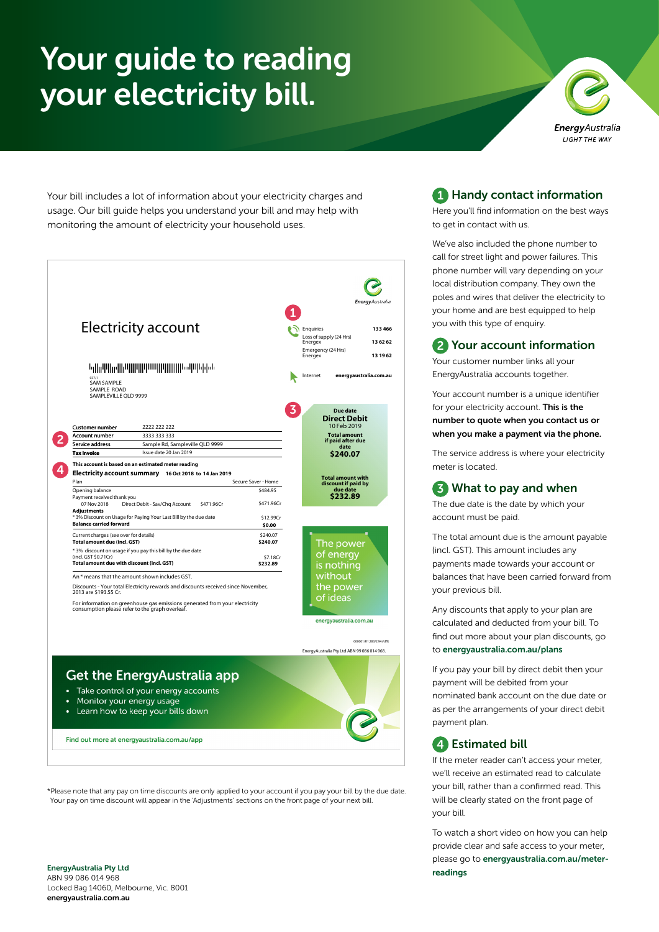# Your guide to reading your electricity bill.



Your bill includes a lot of information about your electricity charges and usage. Our bill guide helps you understand your bill and may help with monitoring the amount of electricity your household uses.



\*Please note that any pay on time discounts are only applied to your account if you pay your bill by the due date. Your pay on time discount will appear in the 'Adjustments' sections on the front page of your next bill.

## **1** Handy contact information

Here you'll find information on the best ways to get in contact with us.

We've also included the phone number to call for street light and power failures. This phone number will vary depending on your local distribution company. They own the poles and wires that deliver the electricity to your home and are best equipped to help you with this type of enquiry.

## 2 Your account information

Your customer number links all your EnergyAustralia accounts together.

Your account number is a unique identifier for your electricity account. This is the number to quote when you contact us or when you make a payment via the phone.

The service address is where your electricity meter is located.

## 3 What to pay and when

The due date is the date by which your account must be paid.

The total amount due is the amount payable (incl. GST). This amount includes any payments made towards your account or balances that have been carried forward from your previous bill.

Any discounts that apply to your plan are calculated and deducted from your bill. To find out more about your plan discounts, go to [energyaustralia.com.au/plans](https://www.energyaustralia.com.au/plans)

If you pay your bill by direct debit then your payment will be debited from your nominated bank account on the due date or as per the arrangements of your direct debit payment plan.

## 4 Estimated bill

If the meter reader can't access your meter, we'll receive an estimated read to calculate your bill, rather than a confirmed read. This will be clearly stated on the front page of your bill.

To watch a short video on how you can help provide clear and safe access to your meter, please go to [energyaustralia.com.au/meter](https://www.energyaustralia.com.au/meter-readings)[readings](https://www.energyaustralia.com.au/meter-readings)